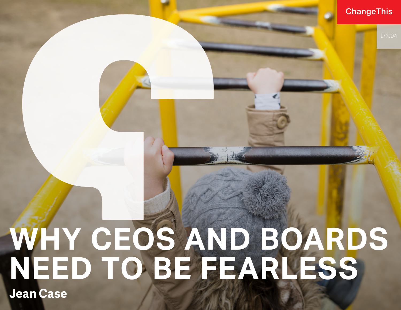#### **ChangeThis**

# **WHY CEOS AND BOARDS NEED TO BE FEARLESS Jean Case**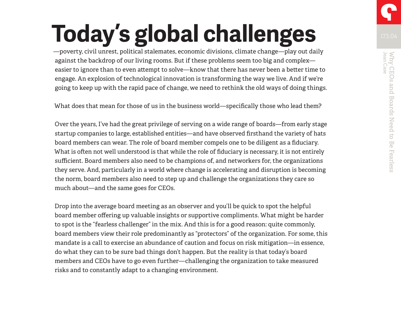—poverty, civil unrest, political stalemates, economic divisions, climate change—play out daily against the backdrop of our living rooms. But if these problems seem too big and complex easier to ignore than to even attempt to solve—know that there has never been a better time to engage. An explosion of technological innovation is transforming the way we live. And if we're going to keep up with the rapid pace of change, we need to rethink the old ways of doing things.

What does that mean for those of us in the business world—specifically those who lead them?

Over the years, I've had the great privilege of serving on a wide range of boards—from early stage startup companies to large, established entities—and have observed firsthand the variety of hats board members can wear. The role of board member compels one to be diligent as a fiduciary. What is often not well understood is that while the role of fiduciary is necessary, it is not entirely sufficient. Board members also need to be champions of, and networkers for, the organizations they serve. And, particularly in a world where change is accelerating and disruption is becoming the norm, board members also need to step up and challenge the organizations they care so much about—and the same goes for CEOs.

Drop into the average board meeting as an observer and you'll be quick to spot the helpful board member offering up valuable insights or supportive compliments. What might be harder to spot is the "fearless challenger" in the mix. And this is for a good reason: quite commonly, board members view their role predominantly as "protectors" of the organization. For some, this mandate is a call to exercise an abundance of caution and focus on risk mitigation—in essence, do what they can to be sure bad things don't happen. But the reality is that today's board members and CEOs have to go even further—challenging the organization to take measured risks and to constantly adapt to a changing environment.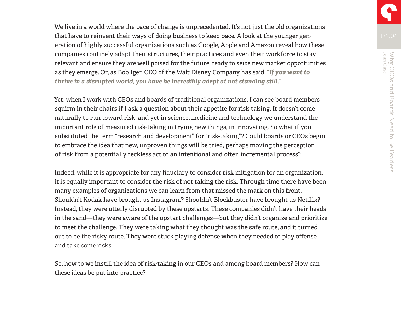We live in a world where the pace of change is unprecedented. It's not just the old organizations that have to reinvent their ways of doing business to keep pace. A look at the younger generation of highly successful organizations such as Google, Apple and Amazon reveal how these companies routinely adapt their structures, their practices and even their workforce to stay relevant and ensure they are well poised for the future, ready to seize new market opportunities as they emerge. Or, as Bob Iger, CEO of the Walt Disney Company has said, *"If you want to thrive in a disrupted world, you have be incredibly adept at not standing still."* 

Yet, when I work with CEOs and boards of traditional organizations, I can see board members squirm in their chairs if I ask a question about their appetite for risk taking. It doesn't come naturally to run toward risk, and yet in science, medicine and technology we understand the important role of measured risk-taking in trying new things, in innovating. So what if you substituted the term "research and development" for "risk-taking"? Could boards or CEOs begin to embrace the idea that new, unproven things will be tried, perhaps moving the perception of risk from a potentially reckless act to an intentional and often incremental process?

Indeed, while it is appropriate for any fiduciary to consider risk mitigation for an organization, it is equally important to consider the risk of not taking the risk. Through time there have been many examples of organizations we can learn from that missed the mark on this front. Shouldn't Kodak have brought us Instagram? Shouldn't Blockbuster have brought us Netflix? Instead, they were utterly disrupted by these upstarts. These companies didn't have their heads in the sand—they were aware of the upstart challenges—but they didn't organize and prioritize to meet the challenge. They were taking what they thought was the safe route, and it turned out to be the risky route. They were stuck playing defense when they needed to play offense and take some risks.

So, how to we instill the idea of risk-taking in our CEOs and among board members? How can these ideas be put into practice?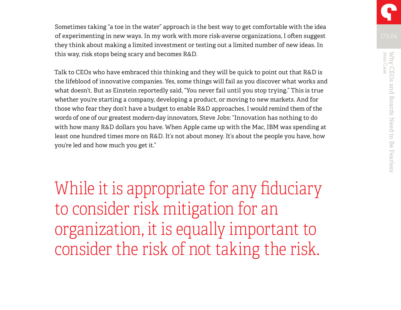Sometimes taking "a toe in the water" approach is the best way to get comfortable with the idea of experimenting in new ways. In my work with more risk-averse organizations, I often suggest they think about making a limited investment or testing out a limited number of new ideas. In this way, risk stops being scary and becomes R&D.

Talk to CEOs who have embraced this thinking and they will be quick to point out that R&D is the lifeblood of innovative companies. Yes, some things will fail as you discover what works and what doesn't. But as Einstein reportedly said, "You never fail until you stop trying." This is true whether you're starting a company, developing a product, or moving to new markets. And for those who fear they don't have a budget to enable R&D approaches, I would remind them of the words of one of our greatest modern-day innovators, Steve Jobs: "Innovation has nothing to do with how many R&D dollars you have. When Apple came up with the Mac, IBM was spending at least one hundred times more on R&D. It's not about money. It's about the people you have, how you're led and how much you get it."

While it is appropriate for any fiduciary to consider risk mitigation for an organization, it is equally important to consider the risk of not taking the risk.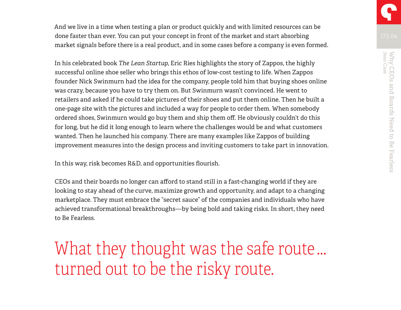And we live in a time when testing a plan or product quickly and with limited resources can be done faster than ever. You can put your concept in front of the market and start absorbing market signals before there is a real product, and in some cases before a company is even formed.

In his celebrated book *The Lean Startup*, Eric Ries highlights the story of Zappos, the highly successful online shoe seller who brings this ethos of low-cost testing to life. When Zappos founder Nick Swinmurn had the idea for the company, people told him that buying shoes online was crazy, because you have to try them on. But Swinmurn wasn't convinced. He went to retailers and asked if he could take pictures of their shoes and put them online. Then he built a one-page site with the pictures and included a way for people to order them. When somebody ordered shoes, Swinmurn would go buy them and ship them off. He obviously couldn't do this for long, but he did it long enough to learn where the challenges would be and what customers wanted. Then he launched his company. There are many examples like Zappos of building improvement measures into the design process and inviting customers to take part in innovation.

In this way, risk becomes R&D, and opportunities flourish.

CEOs and their boards no longer can afford to stand still in a fast-changing world if they are looking to stay ahead of the curve, maximize growth and opportunity, and adapt to a changing marketplace. They must embrace the "secret sauce" of the companies and individuals who have achieved transformational breakthroughs—by being bold and taking risks. In short, they need to Be Fearless.

What they thought was the safe route … turned out to be the risky route.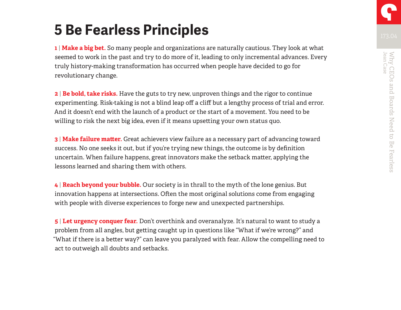# **5 Be Fearless Principles**

**1** | **Make a big bet.** So many people and organizations are naturally cautious. They look at what seemed to work in the past and try to do more of it, leading to only incremental advances. Every truly history-making transformation has occurred when people have decided to go for revolutionary change.

**2** | **Be bold, take risks.** Have the guts to try new, unproven things and the rigor to continue experimenting. Risk-taking is not a blind leap off a cliff but a lengthy process of trial and error. And it doesn't end with the launch of a product or the start of a movement. You need to be willing to risk the next big idea, even if it means upsetting your own status quo.

**3** | **Make failure matter.** Great achievers view failure as a necessary part of advancing toward success. No one seeks it out, but if you're trying new things, the outcome is by definition uncertain. When failure happens, great innovators make the setback matter, applying the lessons learned and sharing them with others.

**4** | **Reach beyond your bubble.** Our society is in thrall to the myth of the lone genius. But innovation happens at intersections. Often the most original solutions come from engaging with people with diverse experiences to forge new and unexpected partnerships.

**5** | **Let urgency conquer fear.** Don't overthink and overanalyze. It's natural to want to study a problem from all angles, but getting caught up in questions like "What if we're wrong?" and "What if there is a better way?" can leave you paralyzed with fear. Allow the compelling need to act to outweigh all doubts and setbacks.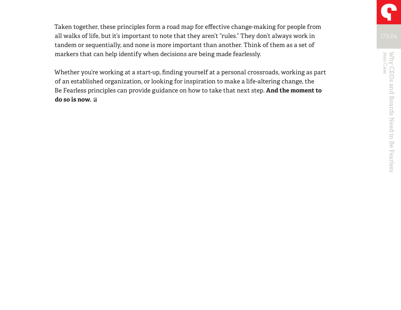Taken together, these principles form a road map for effective change-making for people from all walks of life, but it's important to note that they aren't "rules." They don't always work in tandem or sequentially, and none is more important than another. Think of them as a set of markers that can help identify when decisions are being made fearlessly.

Whether you're working at a start-up, finding yourself at a personal crossroads, working as part of an established organization, or looking for inspiration to make a life-altering change, the Be Fearless principles can provide guidance on how to take that next step. **And the moment to do so is now.**